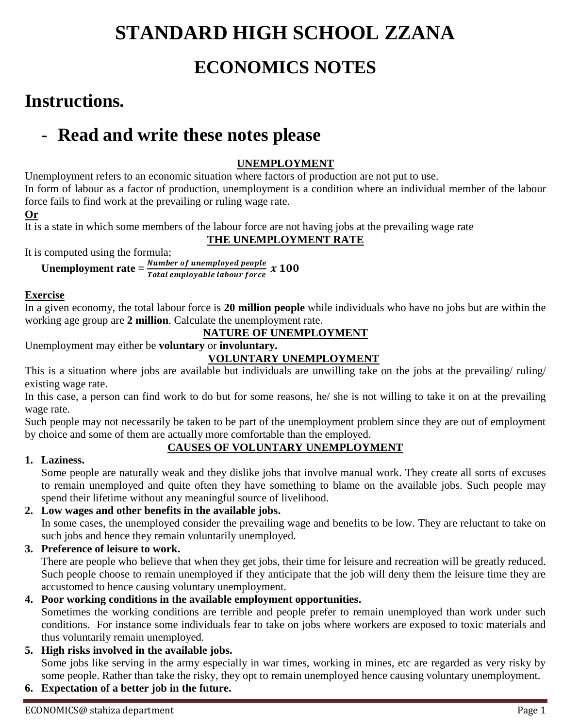# **STANDARD HIGH SCHOOL ZZANA ECONOMICS NOTES**

## **Instructions.**

## - **Read and write these notes please**

## **UNEMPLOYMENT**

Unemployment refers to an economic situation where factors of production are not put to use. In form of labour as a factor of production, unemployment is a condition where an individual member of the labour force fails to find work at the prevailing or ruling wage rate.

#### **Or**

It is a state in which some members of the labour force are not having jobs at the prevailing wage rate

#### **THE UNEMPLOYMENT RATE**

It is computed using the formula;

**Unemployment rate**  $=$   $\frac{Number\ of\ unemployed\ people}{Total\ employed\ labeling\ a\ box\ force}$   $x\ 100$ 

#### **Exercise**

In a given economy, the total labour force is **20 million people** while individuals who have no jobs but are within the working age group are **2 million**. Calculate the unemployment rate.

## **NATURE OF UNEMPLOYMENT**

Unemployment may either be **voluntary** or **involuntary.**

#### **VOLUNTARY UNEMPLOYMENT**

This is a situation where jobs are available but individuals are unwilling take on the jobs at the prevailing/ ruling/ existing wage rate.

In this case, a person can find work to do but for some reasons, he/ she is not willing to take it on at the prevailing wage rate.

Such people may not necessarily be taken to be part of the unemployment problem since they are out of employment by choice and some of them are actually more comfortable than the employed.

## **CAUSES OF VOLUNTARY UNEMPLOYMENT**

## **1. Laziness.**

Some people are naturally weak and they dislike jobs that involve manual work. They create all sorts of excuses to remain unemployed and quite often they have something to blame on the available jobs. Such people may spend their lifetime without any meaningful source of livelihood.

## **2. Low wages and other benefits in the available jobs.**

In some cases, the unemployed consider the prevailing wage and benefits to be low. They are reluctant to take on such jobs and hence they remain voluntarily unemployed.

**3. Preference of leisure to work.**

There are people who believe that when they get jobs, their time for leisure and recreation will be greatly reduced. Such people choose to remain unemployed if they anticipate that the job will deny them the leisure time they are accustomed to hence causing voluntary unemployment.

## **4. Poor working conditions in the available employment opportunities.**

Sometimes the working conditions are terrible and people prefer to remain unemployed than work under such conditions. For instance some individuals fear to take on jobs where workers are exposed to toxic materials and thus voluntarily remain unemployed.

- **5. High risks involved in the available jobs.** Some jobs like serving in the army especially in war times, working in mines, etc are regarded as very risky by some people. Rather than take the risky, they opt to remain unemployed hence causing voluntary unemployment.
- **6. Expectation of a better job in the future.**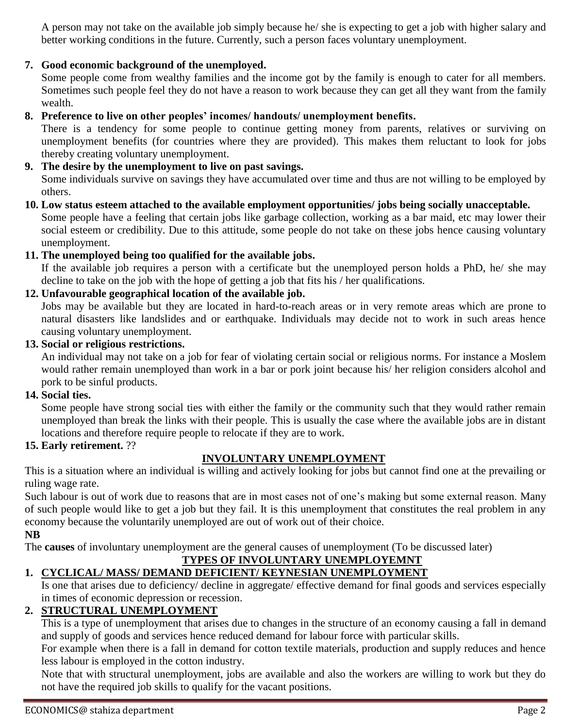A person may not take on the available job simply because he/ she is expecting to get a job with higher salary and better working conditions in the future. Currently, such a person faces voluntary unemployment.

#### **7. Good economic background of the unemployed.**

Some people come from wealthy families and the income got by the family is enough to cater for all members. Sometimes such people feel they do not have a reason to work because they can get all they want from the family wealth.

#### **8. Preference to live on other peoples' incomes/ handouts/ unemployment benefits.**

There is a tendency for some people to continue getting money from parents, relatives or surviving on unemployment benefits (for countries where they are provided). This makes them reluctant to look for jobs thereby creating voluntary unemployment.

#### **9. The desire by the unemployment to live on past savings.**

Some individuals survive on savings they have accumulated over time and thus are not willing to be employed by others.

**10. Low status esteem attached to the available employment opportunities/ jobs being socially unacceptable.** Some people have a feeling that certain jobs like garbage collection, working as a bar maid, etc may lower their social esteem or credibility. Due to this attitude, some people do not take on these jobs hence causing voluntary unemployment.

#### **11. The unemployed being too qualified for the available jobs.**

If the available job requires a person with a certificate but the unemployed person holds a PhD, he/ she may decline to take on the job with the hope of getting a job that fits his / her qualifications.

#### **12. Unfavourable geographical location of the available job.**

Jobs may be available but they are located in hard-to-reach areas or in very remote areas which are prone to natural disasters like landslides and or earthquake. Individuals may decide not to work in such areas hence causing voluntary unemployment.

#### **13. Social or religious restrictions.**

An individual may not take on a job for fear of violating certain social or religious norms. For instance a Moslem would rather remain unemployed than work in a bar or pork joint because his/ her religion considers alcohol and pork to be sinful products.

#### **14. Social ties.**

Some people have strong social ties with either the family or the community such that they would rather remain unemployed than break the links with their people. This is usually the case where the available jobs are in distant locations and therefore require people to relocate if they are to work.

#### **15. Early retirement.** ??

#### **INVOLUNTARY UNEMPLOYMENT**

This is a situation where an individual is willing and actively looking for jobs but cannot find one at the prevailing or ruling wage rate.

Such labour is out of work due to reasons that are in most cases not of one's making but some external reason. Many of such people would like to get a job but they fail. It is this unemployment that constitutes the real problem in any economy because the voluntarily unemployed are out of work out of their choice.

**NB**

The **causes** of involuntary unemployment are the general causes of unemployment (To be discussed later)

## **TYPES OF INVOLUNTARY UNEMPLOYEMNT**

## **1. CYCLICAL/ MASS/ DEMAND DEFICIENT/ KEYNESIAN UNEMPLOYMENT**

Is one that arises due to deficiency/ decline in aggregate/ effective demand for final goods and services especially in times of economic depression or recession.

#### **2. STRUCTURAL UNEMPLOYMENT**

This is a type of unemployment that arises due to changes in the structure of an economy causing a fall in demand and supply of goods and services hence reduced demand for labour force with particular skills.

For example when there is a fall in demand for cotton textile materials, production and supply reduces and hence less labour is employed in the cotton industry.

Note that with structural unemployment, jobs are available and also the workers are willing to work but they do not have the required job skills to qualify for the vacant positions.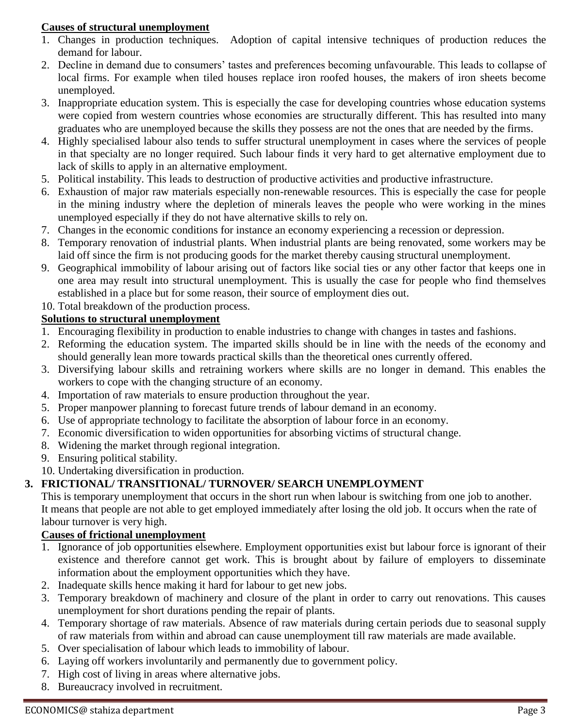#### **Causes of structural unemployment**

- 1. Changes in production techniques. Adoption of capital intensive techniques of production reduces the demand for labour.
- 2. Decline in demand due to consumers' tastes and preferences becoming unfavourable. This leads to collapse of local firms. For example when tiled houses replace iron roofed houses, the makers of iron sheets become unemployed.
- 3. Inappropriate education system. This is especially the case for developing countries whose education systems were copied from western countries whose economies are structurally different. This has resulted into many graduates who are unemployed because the skills they possess are not the ones that are needed by the firms.
- 4. Highly specialised labour also tends to suffer structural unemployment in cases where the services of people in that specialty are no longer required. Such labour finds it very hard to get alternative employment due to lack of skills to apply in an alternative employment.
- 5. Political instability. This leads to destruction of productive activities and productive infrastructure.
- 6. Exhaustion of major raw materials especially non-renewable resources. This is especially the case for people in the mining industry where the depletion of minerals leaves the people who were working in the mines unemployed especially if they do not have alternative skills to rely on.
- 7. Changes in the economic conditions for instance an economy experiencing a recession or depression.
- 8. Temporary renovation of industrial plants. When industrial plants are being renovated, some workers may be laid off since the firm is not producing goods for the market thereby causing structural unemployment.
- 9. Geographical immobility of labour arising out of factors like social ties or any other factor that keeps one in one area may result into structural unemployment. This is usually the case for people who find themselves established in a place but for some reason, their source of employment dies out.
- 10. Total breakdown of the production process.

#### **Solutions to structural unemployment**

- 1. Encouraging flexibility in production to enable industries to change with changes in tastes and fashions.
- 2. Reforming the education system. The imparted skills should be in line with the needs of the economy and should generally lean more towards practical skills than the theoretical ones currently offered.
- 3. Diversifying labour skills and retraining workers where skills are no longer in demand. This enables the workers to cope with the changing structure of an economy.
- 4. Importation of raw materials to ensure production throughout the year.
- 5. Proper manpower planning to forecast future trends of labour demand in an economy.
- 6. Use of appropriate technology to facilitate the absorption of labour force in an economy.
- 7. Economic diversification to widen opportunities for absorbing victims of structural change.
- 8. Widening the market through regional integration.
- 9. Ensuring political stability.
- 10. Undertaking diversification in production.

## **3. FRICTIONAL/ TRANSITIONAL/ TURNOVER/ SEARCH UNEMPLOYMENT**

This is temporary unemployment that occurs in the short run when labour is switching from one job to another. It means that people are not able to get employed immediately after losing the old job. It occurs when the rate of labour turnover is very high.

## **Causes of frictional unemployment**

- 1. Ignorance of job opportunities elsewhere. Employment opportunities exist but labour force is ignorant of their existence and therefore cannot get work. This is brought about by failure of employers to disseminate information about the employment opportunities which they have.
- 2. Inadequate skills hence making it hard for labour to get new jobs.
- 3. Temporary breakdown of machinery and closure of the plant in order to carry out renovations. This causes unemployment for short durations pending the repair of plants.
- 4. Temporary shortage of raw materials. Absence of raw materials during certain periods due to seasonal supply of raw materials from within and abroad can cause unemployment till raw materials are made available.
- 5. Over specialisation of labour which leads to immobility of labour.
- 6. Laying off workers involuntarily and permanently due to government policy.
- 7. High cost of living in areas where alternative jobs.
- 8. Bureaucracy involved in recruitment.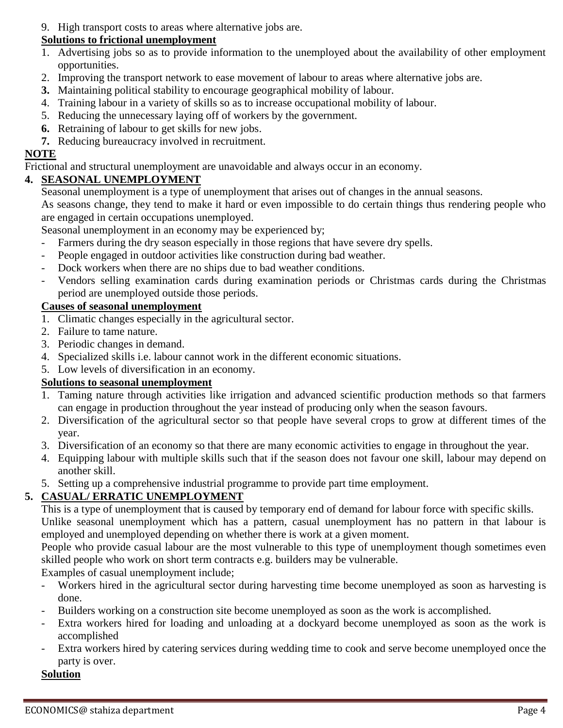9. High transport costs to areas where alternative jobs are.

#### **Solutions to frictional unemployment**

- 1. Advertising jobs so as to provide information to the unemployed about the availability of other employment opportunities.
- 2. Improving the transport network to ease movement of labour to areas where alternative jobs are.
- **3.** Maintaining political stability to encourage geographical mobility of labour.
- 4. Training labour in a variety of skills so as to increase occupational mobility of labour.
- 5. Reducing the unnecessary laying off of workers by the government.
- **6.** Retraining of labour to get skills for new jobs.
- **7.** Reducing bureaucracy involved in recruitment.

## **NOTE**

Frictional and structural unemployment are unavoidable and always occur in an economy.

## **4. SEASONAL UNEMPLOYMENT**

Seasonal unemployment is a type of unemployment that arises out of changes in the annual seasons.

As seasons change, they tend to make it hard or even impossible to do certain things thus rendering people who are engaged in certain occupations unemployed.

Seasonal unemployment in an economy may be experienced by;

- Farmers during the dry season especially in those regions that have severe dry spells.
- People engaged in outdoor activities like construction during bad weather.
- Dock workers when there are no ships due to bad weather conditions.
- Vendors selling examination cards during examination periods or Christmas cards during the Christmas period are unemployed outside those periods.

## **Causes of seasonal unemployment**

- 1. Climatic changes especially in the agricultural sector.
- 2. Failure to tame nature.
- 3. Periodic changes in demand.
- 4. Specialized skills i.e. labour cannot work in the different economic situations.
- 5. Low levels of diversification in an economy.

## **Solutions to seasonal unemployment**

- 1. Taming nature through activities like irrigation and advanced scientific production methods so that farmers can engage in production throughout the year instead of producing only when the season favours.
- 2. Diversification of the agricultural sector so that people have several crops to grow at different times of the year.
- 3. Diversification of an economy so that there are many economic activities to engage in throughout the year.
- 4. Equipping labour with multiple skills such that if the season does not favour one skill, labour may depend on another skill.
- 5. Setting up a comprehensive industrial programme to provide part time employment.

## **5. CASUAL/ ERRATIC UNEMPLOYMENT**

This is a type of unemployment that is caused by temporary end of demand for labour force with specific skills. Unlike seasonal unemployment which has a pattern, casual unemployment has no pattern in that labour is employed and unemployed depending on whether there is work at a given moment.

People who provide casual labour are the most vulnerable to this type of unemployment though sometimes even skilled people who work on short term contracts e.g. builders may be vulnerable.

Examples of casual unemployment include;

- Workers hired in the agricultural sector during harvesting time become unemployed as soon as harvesting is done.
- Builders working on a construction site become unemployed as soon as the work is accomplished.
- Extra workers hired for loading and unloading at a dockyard become unemployed as soon as the work is accomplished
- Extra workers hired by catering services during wedding time to cook and serve become unemployed once the party is over.

## **Solution**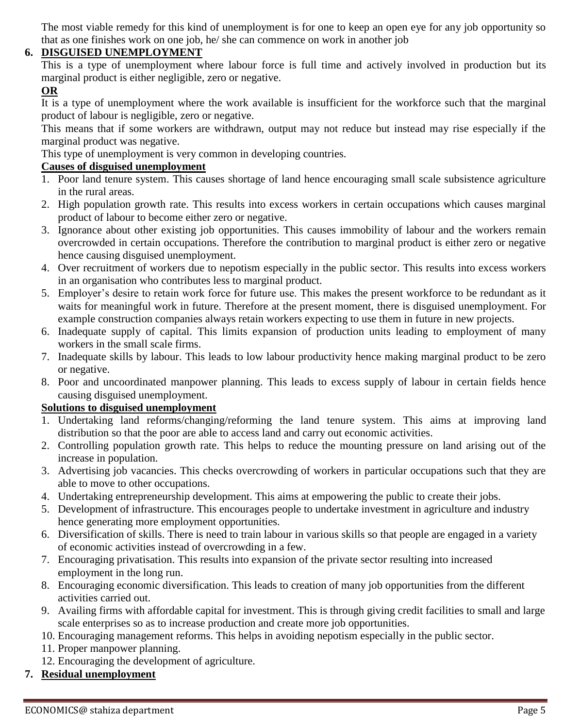The most viable remedy for this kind of unemployment is for one to keep an open eye for any job opportunity so that as one finishes work on one job, he/ she can commence on work in another job

#### **6. DISGUISED UNEMPLOYMENT**

This is a type of unemployment where labour force is full time and actively involved in production but its marginal product is either negligible, zero or negative.

#### **OR**

It is a type of unemployment where the work available is insufficient for the workforce such that the marginal product of labour is negligible, zero or negative.

This means that if some workers are withdrawn, output may not reduce but instead may rise especially if the marginal product was negative.

This type of unemployment is very common in developing countries.

#### **Causes of disguised unemployment**

- 1. Poor land tenure system. This causes shortage of land hence encouraging small scale subsistence agriculture in the rural areas.
- 2. High population growth rate. This results into excess workers in certain occupations which causes marginal product of labour to become either zero or negative.
- 3. Ignorance about other existing job opportunities. This causes immobility of labour and the workers remain overcrowded in certain occupations. Therefore the contribution to marginal product is either zero or negative hence causing disguised unemployment.
- 4. Over recruitment of workers due to nepotism especially in the public sector. This results into excess workers in an organisation who contributes less to marginal product.
- 5. Employer's desire to retain work force for future use. This makes the present workforce to be redundant as it waits for meaningful work in future. Therefore at the present moment, there is disguised unemployment. For example construction companies always retain workers expecting to use them in future in new projects.
- 6. Inadequate supply of capital. This limits expansion of production units leading to employment of many workers in the small scale firms.
- 7. Inadequate skills by labour. This leads to low labour productivity hence making marginal product to be zero or negative.
- 8. Poor and uncoordinated manpower planning. This leads to excess supply of labour in certain fields hence causing disguised unemployment.

#### **Solutions to disguised unemployment**

- 1. Undertaking land reforms/changing/reforming the land tenure system. This aims at improving land distribution so that the poor are able to access land and carry out economic activities.
- 2. Controlling population growth rate. This helps to reduce the mounting pressure on land arising out of the increase in population.
- 3. Advertising job vacancies. This checks overcrowding of workers in particular occupations such that they are able to move to other occupations.
- 4. Undertaking entrepreneurship development. This aims at empowering the public to create their jobs.
- 5. Development of infrastructure. This encourages people to undertake investment in agriculture and industry hence generating more employment opportunities.
- 6. Diversification of skills. There is need to train labour in various skills so that people are engaged in a variety of economic activities instead of overcrowding in a few.
- 7. Encouraging privatisation. This results into expansion of the private sector resulting into increased employment in the long run.
- 8. Encouraging economic diversification. This leads to creation of many job opportunities from the different activities carried out.
- 9. Availing firms with affordable capital for investment. This is through giving credit facilities to small and large scale enterprises so as to increase production and create more job opportunities.
- 10. Encouraging management reforms. This helps in avoiding nepotism especially in the public sector.
- 11. Proper manpower planning.
- 12. Encouraging the development of agriculture.
- **7. Residual unemployment**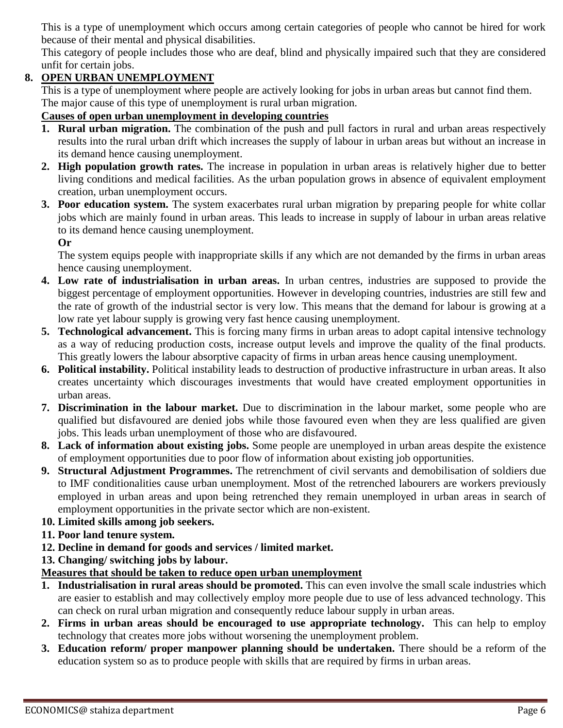This is a type of unemployment which occurs among certain categories of people who cannot be hired for work because of their mental and physical disabilities.

This category of people includes those who are deaf, blind and physically impaired such that they are considered unfit for certain jobs.

## **8. OPEN URBAN UNEMPLOYMENT**

This is a type of unemployment where people are actively looking for jobs in urban areas but cannot find them. The major cause of this type of unemployment is rural urban migration.

#### **Causes of open urban unemployment in developing countries**

- **1. Rural urban migration.** The combination of the push and pull factors in rural and urban areas respectively results into the rural urban drift which increases the supply of labour in urban areas but without an increase in its demand hence causing unemployment.
- **2. High population growth rates.** The increase in population in urban areas is relatively higher due to better living conditions and medical facilities. As the urban population grows in absence of equivalent employment creation, urban unemployment occurs.
- **3. Poor education system.** The system exacerbates rural urban migration by preparing people for white collar jobs which are mainly found in urban areas. This leads to increase in supply of labour in urban areas relative to its demand hence causing unemployment.

**Or**

The system equips people with inappropriate skills if any which are not demanded by the firms in urban areas hence causing unemployment.

- **4. Low rate of industrialisation in urban areas.** In urban centres, industries are supposed to provide the biggest percentage of employment opportunities. However in developing countries, industries are still few and the rate of growth of the industrial sector is very low. This means that the demand for labour is growing at a low rate yet labour supply is growing very fast hence causing unemployment.
- **5. Technological advancement.** This is forcing many firms in urban areas to adopt capital intensive technology as a way of reducing production costs, increase output levels and improve the quality of the final products. This greatly lowers the labour absorptive capacity of firms in urban areas hence causing unemployment.
- **6. Political instability.** Political instability leads to destruction of productive infrastructure in urban areas. It also creates uncertainty which discourages investments that would have created employment opportunities in urban areas.
- **7. Discrimination in the labour market.** Due to discrimination in the labour market, some people who are qualified but disfavoured are denied jobs while those favoured even when they are less qualified are given jobs. This leads urban unemployment of those who are disfavoured.
- **8. Lack of information about existing jobs.** Some people are unemployed in urban areas despite the existence of employment opportunities due to poor flow of information about existing job opportunities.
- **9. Structural Adjustment Programmes.** The retrenchment of civil servants and demobilisation of soldiers due to IMF conditionalities cause urban unemployment. Most of the retrenched labourers are workers previously employed in urban areas and upon being retrenched they remain unemployed in urban areas in search of employment opportunities in the private sector which are non-existent.
- **10. Limited skills among job seekers.**
- **11. Poor land tenure system.**
- **12. Decline in demand for goods and services / limited market.**
- **13. Changing/ switching jobs by labour.**

## **Measures that should be taken to reduce open urban unemployment**

- **1. Industrialisation in rural areas should be promoted.** This can even involve the small scale industries which are easier to establish and may collectively employ more people due to use of less advanced technology. This can check on rural urban migration and consequently reduce labour supply in urban areas.
- **2. Firms in urban areas should be encouraged to use appropriate technology.** This can help to employ technology that creates more jobs without worsening the unemployment problem.
- **3. Education reform/ proper manpower planning should be undertaken.** There should be a reform of the education system so as to produce people with skills that are required by firms in urban areas.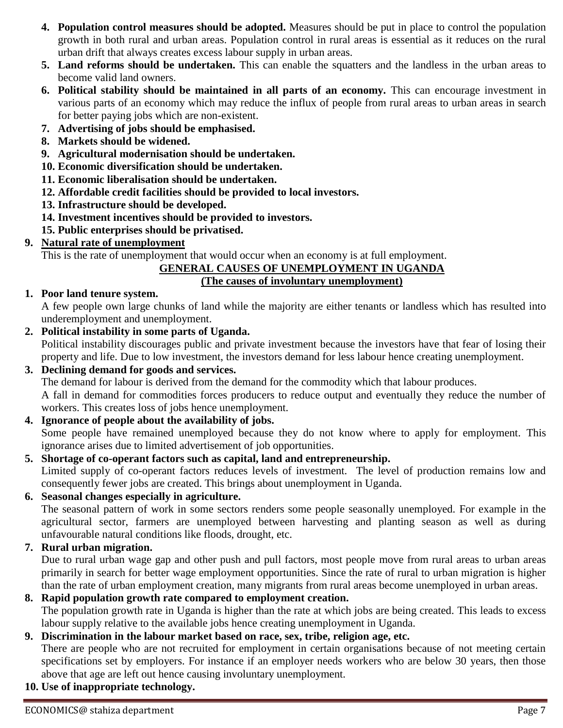- **4. Population control measures should be adopted.** Measures should be put in place to control the population growth in both rural and urban areas. Population control in rural areas is essential as it reduces on the rural urban drift that always creates excess labour supply in urban areas.
- **5. Land reforms should be undertaken.** This can enable the squatters and the landless in the urban areas to become valid land owners.
- **6. Political stability should be maintained in all parts of an economy.** This can encourage investment in various parts of an economy which may reduce the influx of people from rural areas to urban areas in search for better paying jobs which are non-existent.
- **7. Advertising of jobs should be emphasised.**
- **8. Markets should be widened.**
- **9. Agricultural modernisation should be undertaken.**
- **10. Economic diversification should be undertaken.**
- **11. Economic liberalisation should be undertaken.**
- **12. Affordable credit facilities should be provided to local investors.**
- **13. Infrastructure should be developed.**
- **14. Investment incentives should be provided to investors.**
- **15. Public enterprises should be privatised.**
- **9. Natural rate of unemployment**

This is the rate of unemployment that would occur when an economy is at full employment.

#### **GENERAL CAUSES OF UNEMPLOYMENT IN UGANDA**

#### **(The causes of involuntary unemployment)**

#### **1. Poor land tenure system.**

A few people own large chunks of land while the majority are either tenants or landless which has resulted into underemployment and unemployment.

**2. Political instability in some parts of Uganda.**

Political instability discourages public and private investment because the investors have that fear of losing their property and life. Due to low investment, the investors demand for less labour hence creating unemployment.

- **3. Declining demand for goods and services.** The demand for labour is derived from the demand for the commodity which that labour produces. A fall in demand for commodities forces producers to reduce output and eventually they reduce the number of workers. This creates loss of jobs hence unemployment.
- **4. Ignorance of people about the availability of jobs.** Some people have remained unemployed because they do not know where to apply for employment. This ignorance arises due to limited advertisement of job opportunities.
- **5. Shortage of co-operant factors such as capital, land and entrepreneurship.** Limited supply of co-operant factors reduces levels of investment. The level of production remains low and consequently fewer jobs are created. This brings about unemployment in Uganda.
- **6. Seasonal changes especially in agriculture.**

The seasonal pattern of work in some sectors renders some people seasonally unemployed. For example in the agricultural sector, farmers are unemployed between harvesting and planting season as well as during unfavourable natural conditions like floods, drought, etc.

#### **7. Rural urban migration.**

Due to rural urban wage gap and other push and pull factors, most people move from rural areas to urban areas primarily in search for better wage employment opportunities. Since the rate of rural to urban migration is higher than the rate of urban employment creation, many migrants from rural areas become unemployed in urban areas.

#### **8. Rapid population growth rate compared to employment creation.** The population growth rate in Uganda is higher than the rate at which jobs are being created. This leads to excess labour supply relative to the available jobs hence creating unemployment in Uganda.

#### **9. Discrimination in the labour market based on race, sex, tribe, religion age, etc.**

There are people who are not recruited for employment in certain organisations because of not meeting certain specifications set by employers. For instance if an employer needs workers who are below 30 years, then those above that age are left out hence causing involuntary unemployment.

**10. Use of inappropriate technology.**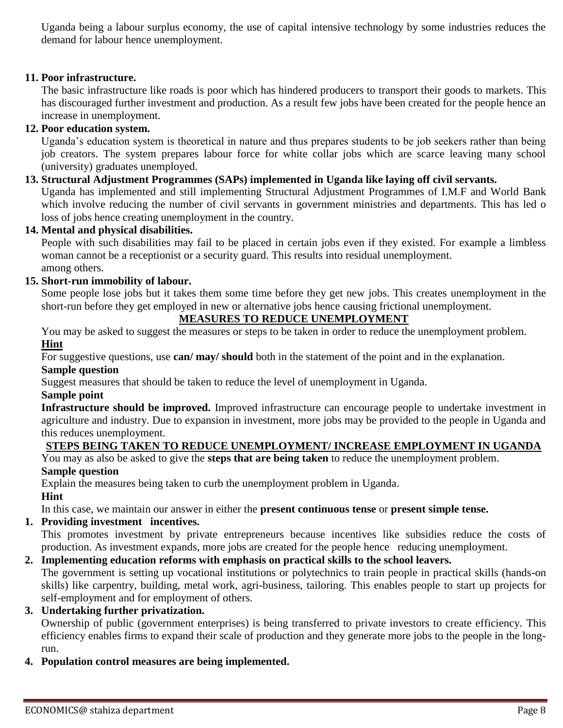Uganda being a labour surplus economy, the use of capital intensive technology by some industries reduces the demand for labour hence unemployment.

#### **11. Poor infrastructure.**

The basic infrastructure like roads is poor which has hindered producers to transport their goods to markets. This has discouraged further investment and production. As a result few jobs have been created for the people hence an increase in unemployment.

#### **12. Poor education system.**

Uganda's education system is theoretical in nature and thus prepares students to be job seekers rather than being job creators. The system prepares labour force for white collar jobs which are scarce leaving many school (university) graduates unemployed.

#### **13. Structural Adjustment Programmes (SAPs) implemented in Uganda like laying off civil servants.**

Uganda has implemented and still implementing Structural Adjustment Programmes of I.M.F and World Bank which involve reducing the number of civil servants in government ministries and departments. This has led o loss of jobs hence creating unemployment in the country.

#### **14. Mental and physical disabilities.**

People with such disabilities may fail to be placed in certain jobs even if they existed. For example a limbless woman cannot be a receptionist or a security guard. This results into residual unemployment. among others.

#### **15. Short-run immobility of labour.**

Some people lose jobs but it takes them some time before they get new jobs. This creates unemployment in the short-run before they get employed in new or alternative jobs hence causing frictional unemployment.

#### **MEASURES TO REDUCE UNEMPLOYMENT**

You may be asked to suggest the measures or steps to be taken in order to reduce the unemployment problem. **Hint**

For suggestive questions, use **can/ may/ should** both in the statement of the point and in the explanation.

#### **Sample question**

Suggest measures that should be taken to reduce the level of unemployment in Uganda.

#### **Sample point**

**Infrastructure should be improved.** Improved infrastructure can encourage people to undertake investment in agriculture and industry. Due to expansion in investment, more jobs may be provided to the people in Uganda and this reduces unemployment.

#### **STEPS BEING TAKEN TO REDUCE UNEMPLOYMENT/ INCREASE EMPLOYMENT IN UGANDA**

You may as also be asked to give the **steps that are being taken** to reduce the unemployment problem.

#### **Sample question**

Explain the measures being taken to curb the unemployment problem in Uganda.

#### **Hint**

In this case, we maintain our answer in either the **present continuous tense** or **present simple tense.**

#### **1. Providing investment incentives.**

This promotes investment by private entrepreneurs because incentives like subsidies reduce the costs of production. As investment expands, more jobs are created for the people hence reducing unemployment.

#### **2. Implementing education reforms with emphasis on practical skills to the school leavers.**

The government is setting up vocational institutions or polytechnics to train people in practical skills (hands-on skills) like carpentry, building, metal work, agri-business, tailoring. This enables people to start up projects for self-employment and for employment of others.

#### **3. Undertaking further privatization.**

Ownership of public (government enterprises) is being transferred to private investors to create efficiency. This efficiency enables firms to expand their scale of production and they generate more jobs to the people in the longrun.

#### **4. Population control measures are being implemented.**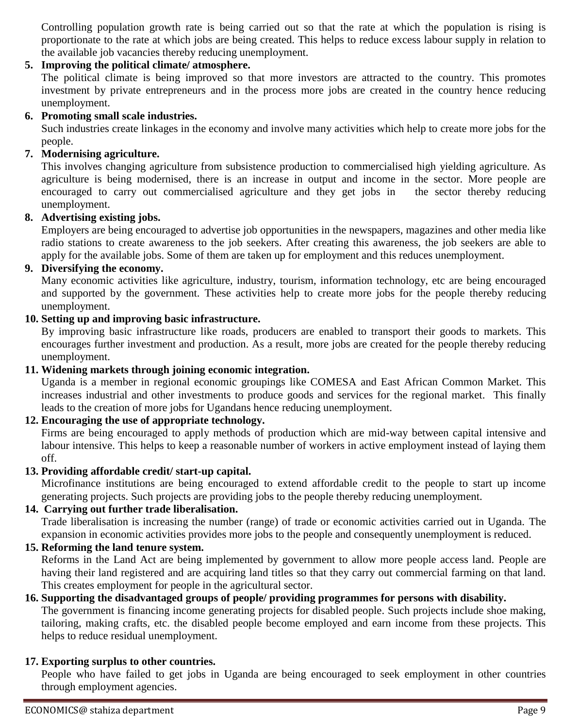Controlling population growth rate is being carried out so that the rate at which the population is rising is proportionate to the rate at which jobs are being created. This helps to reduce excess labour supply in relation to the available job vacancies thereby reducing unemployment.

#### **5. Improving the political climate/ atmosphere.**

The political climate is being improved so that more investors are attracted to the country. This promotes investment by private entrepreneurs and in the process more jobs are created in the country hence reducing unemployment.

#### **6. Promoting small scale industries.**

Such industries create linkages in the economy and involve many activities which help to create more jobs for the people.

#### **7. Modernising agriculture.**

This involves changing agriculture from subsistence production to commercialised high yielding agriculture. As agriculture is being modernised, there is an increase in output and income in the sector. More people are encouraged to carry out commercialised agriculture and they get jobs in the sector thereby reducing unemployment.

#### **8. Advertising existing jobs.**

Employers are being encouraged to advertise job opportunities in the newspapers, magazines and other media like radio stations to create awareness to the job seekers. After creating this awareness, the job seekers are able to apply for the available jobs. Some of them are taken up for employment and this reduces unemployment.

#### **9. Diversifying the economy.**

Many economic activities like agriculture, industry, tourism, information technology, etc are being encouraged and supported by the government. These activities help to create more jobs for the people thereby reducing unemployment.

#### **10. Setting up and improving basic infrastructure.**

By improving basic infrastructure like roads, producers are enabled to transport their goods to markets. This encourages further investment and production. As a result, more jobs are created for the people thereby reducing unemployment.

#### **11. Widening markets through joining economic integration.**

Uganda is a member in regional economic groupings like COMESA and East African Common Market. This increases industrial and other investments to produce goods and services for the regional market. This finally leads to the creation of more jobs for Ugandans hence reducing unemployment.

#### **12. Encouraging the use of appropriate technology.**

Firms are being encouraged to apply methods of production which are mid-way between capital intensive and labour intensive. This helps to keep a reasonable number of workers in active employment instead of laying them off.

#### **13. Providing affordable credit/ start-up capital.**

Microfinance institutions are being encouraged to extend affordable credit to the people to start up income generating projects. Such projects are providing jobs to the people thereby reducing unemployment.

#### **14. Carrying out further trade liberalisation.**

Trade liberalisation is increasing the number (range) of trade or economic activities carried out in Uganda. The expansion in economic activities provides more jobs to the people and consequently unemployment is reduced.

#### **15. Reforming the land tenure system.**

Reforms in the Land Act are being implemented by government to allow more people access land. People are having their land registered and are acquiring land titles so that they carry out commercial farming on that land. This creates employment for people in the agricultural sector.

#### **16. Supporting the disadvantaged groups of people/ providing programmes for persons with disability.**

The government is financing income generating projects for disabled people. Such projects include shoe making, tailoring, making crafts, etc. the disabled people become employed and earn income from these projects. This helps to reduce residual unemployment.

#### **17. Exporting surplus to other countries.**

People who have failed to get jobs in Uganda are being encouraged to seek employment in other countries through employment agencies.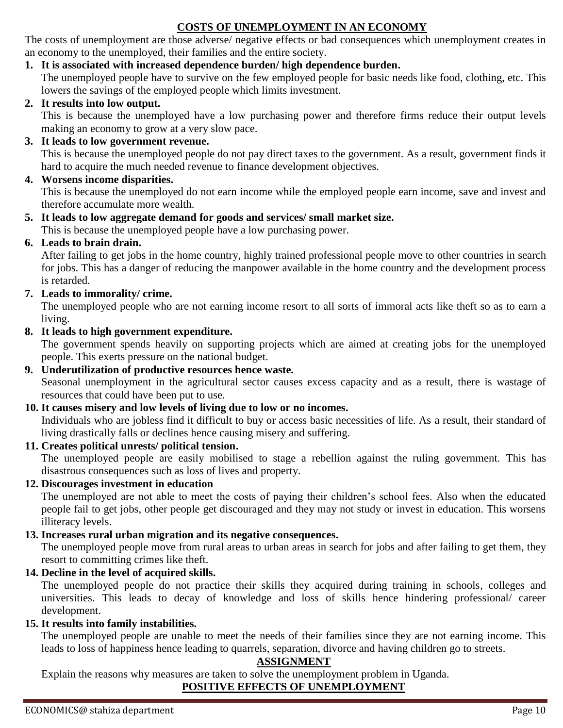## **COSTS OF UNEMPLOYMENT IN AN ECONOMY**

The costs of unemployment are those adverse/ negative effects or bad consequences which unemployment creates in an economy to the unemployed, their families and the entire society.

#### **1. It is associated with increased dependence burden/ high dependence burden.**

The unemployed people have to survive on the few employed people for basic needs like food, clothing, etc. This lowers the savings of the employed people which limits investment.

#### **2. It results into low output.**

This is because the unemployed have a low purchasing power and therefore firms reduce their output levels making an economy to grow at a very slow pace.

#### **3. It leads to low government revenue.**

This is because the unemployed people do not pay direct taxes to the government. As a result, government finds it hard to acquire the much needed revenue to finance development objectives.

#### **4. Worsens income disparities.**

This is because the unemployed do not earn income while the employed people earn income, save and invest and therefore accumulate more wealth.

#### **5. It leads to low aggregate demand for goods and services/ small market size.**

This is because the unemployed people have a low purchasing power.

#### **6. Leads to brain drain.**

After failing to get jobs in the home country, highly trained professional people move to other countries in search for jobs. This has a danger of reducing the manpower available in the home country and the development process is retarded.

#### **7. Leads to immorality/ crime.**

The unemployed people who are not earning income resort to all sorts of immoral acts like theft so as to earn a living.

#### **8. It leads to high government expenditure.**

The government spends heavily on supporting projects which are aimed at creating jobs for the unemployed people. This exerts pressure on the national budget.

#### **9. Underutilization of productive resources hence waste.** Seasonal unemployment in the agricultural sector causes excess capacity and as a result, there is wastage of resources that could have been put to use.

#### **10. It causes misery and low levels of living due to low or no incomes.**

Individuals who are jobless find it difficult to buy or access basic necessities of life. As a result, their standard of living drastically falls or declines hence causing misery and suffering.

#### **11. Creates political unrests/ political tension.**

The unemployed people are easily mobilised to stage a rebellion against the ruling government. This has disastrous consequences such as loss of lives and property.

#### **12. Discourages investment in education**

The unemployed are not able to meet the costs of paying their children's school fees. Also when the educated people fail to get jobs, other people get discouraged and they may not study or invest in education. This worsens illiteracy levels.

#### **13. Increases rural urban migration and its negative consequences.**

The unemployed people move from rural areas to urban areas in search for jobs and after failing to get them, they resort to committing crimes like theft.

#### **14. Decline in the level of acquired skills.**

The unemployed people do not practice their skills they acquired during training in schools, colleges and universities. This leads to decay of knowledge and loss of skills hence hindering professional/ career development.

#### **15. It results into family instabilities.**

The unemployed people are unable to meet the needs of their families since they are not earning income. This leads to loss of happiness hence leading to quarrels, separation, divorce and having children go to streets.

#### **ASSIGNMENT**

Explain the reasons why measures are taken to solve the unemployment problem in Uganda.

#### **POSITIVE EFFECTS OF UNEMPLOYMENT**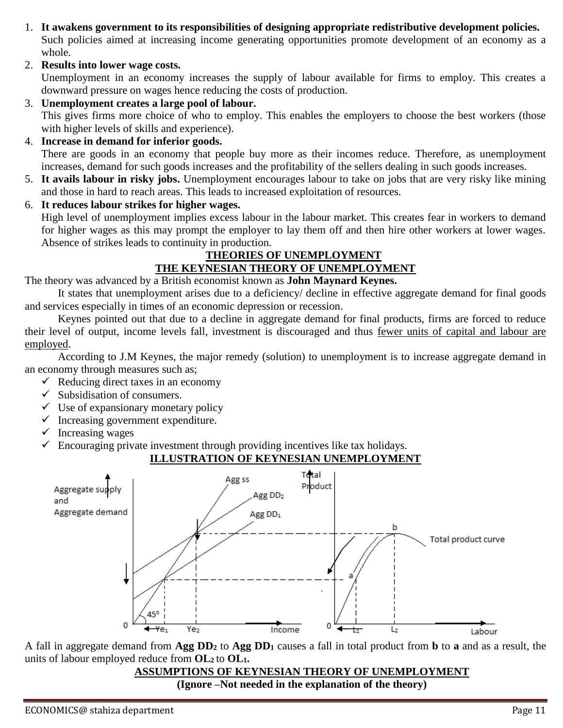- 1. **It awakens government to its responsibilities of designing appropriate redistributive development policies.**  Such policies aimed at increasing income generating opportunities promote development of an economy as a whole.
- 2. **Results into lower wage costs.**

Unemployment in an economy increases the supply of labour available for firms to employ. This creates a downward pressure on wages hence reducing the costs of production.

- 3. **Unemployment creates a large pool of labour.** This gives firms more choice of who to employ. This enables the employers to choose the best workers (those with higher levels of skills and experience).
- 4. **Increase in demand for inferior goods.**  There are goods in an economy that people buy more as their incomes reduce. Therefore, as unemployment increases, demand for such goods increases and the profitability of the sellers dealing in such goods increases.
- 5. **It avails labour in risky jobs.** Unemployment encourages labour to take on jobs that are very risky like mining and those in hard to reach areas. This leads to increased exploitation of resources.
- 6. **It reduces labour strikes for higher wages.**  High level of unemployment implies excess labour in the labour market. This creates fear in workers to demand for higher wages as this may prompt the employer to lay them off and then hire other workers at lower wages. Absence of strikes leads to continuity in production.

#### **THEORIES OF UNEMPLOYMENT THE KEYNESIAN THEORY OF UNEMPLOYMENT**

The theory was advanced by a British economist known as **John Maynard Keynes.**

It states that unemployment arises due to a deficiency/ decline in effective aggregate demand for final goods and services especially in times of an economic depression or recession.

Keynes pointed out that due to a decline in aggregate demand for final products, firms are forced to reduce their level of output, income levels fall, investment is discouraged and thus fewer units of capital and labour are employed.

According to J.M Keynes, the major remedy (solution) to unemployment is to increase aggregate demand in an economy through measures such as;

- $\checkmark$  Reducing direct taxes in an economy
- $\checkmark$  Subsidisation of consumers.
- $\checkmark$  Use of expansionary monetary policy
- $\checkmark$  Increasing government expenditure.
- $\checkmark$  Increasing wages
- $\checkmark$  Encouraging private investment through providing incentives like tax holidays.

#### **ILLUSTRATION OF KEYNESIAN UNEMPLOYMENT**



A fall in aggregate demand from **Agg DD<sup>2</sup>** to **Agg DD<sup>1</sup>** causes a fall in total product from **b** to **a** and as a result, the units of labour employed reduce from **OL<sup>2</sup>** to **OL1.**

> **ASSUMPTIONS OF KEYNESIAN THEORY OF UNEMPLOYMENT (Ignore –Not needed in the explanation of the theory)**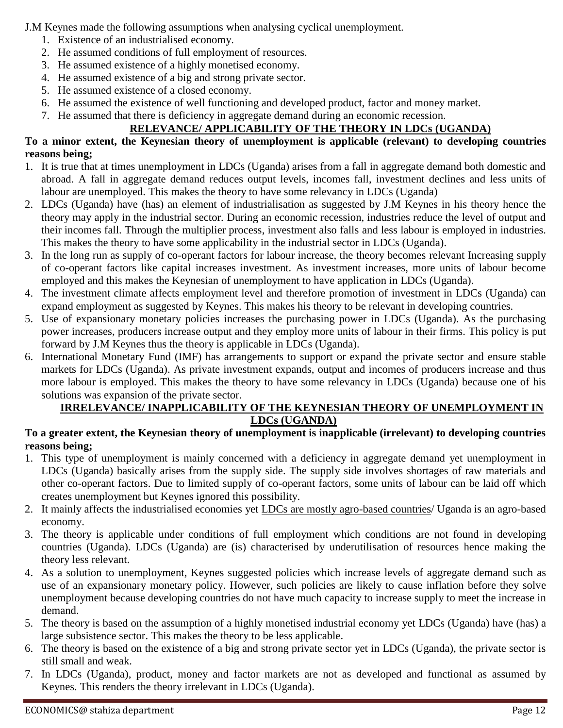J.M Keynes made the following assumptions when analysing cyclical unemployment.

- 1. Existence of an industrialised economy.
- 2. He assumed conditions of full employment of resources.
- 3. He assumed existence of a highly monetised economy.
- 4. He assumed existence of a big and strong private sector.
- 5. He assumed existence of a closed economy.
- 6. He assumed the existence of well functioning and developed product, factor and money market.
- 7. He assumed that there is deficiency in aggregate demand during an economic recession.

## **RELEVANCE/ APPLICABILITY OF THE THEORY IN LDCs (UGANDA)**

#### **To a minor extent, the Keynesian theory of unemployment is applicable (relevant) to developing countries reasons being;**

- 1. It is true that at times unemployment in LDCs (Uganda) arises from a fall in aggregate demand both domestic and abroad. A fall in aggregate demand reduces output levels, incomes fall, investment declines and less units of labour are unemployed. This makes the theory to have some relevancy in LDCs (Uganda)
- 2. LDCs (Uganda) have (has) an element of industrialisation as suggested by J.M Keynes in his theory hence the theory may apply in the industrial sector. During an economic recession, industries reduce the level of output and their incomes fall. Through the multiplier process, investment also falls and less labour is employed in industries. This makes the theory to have some applicability in the industrial sector in LDCs (Uganda).
- 3. In the long run as supply of co-operant factors for labour increase, the theory becomes relevant Increasing supply of co-operant factors like capital increases investment. As investment increases, more units of labour become employed and this makes the Keynesian of unemployment to have application in LDCs (Uganda).
- 4. The investment climate affects employment level and therefore promotion of investment in LDCs (Uganda) can expand employment as suggested by Keynes. This makes his theory to be relevant in developing countries.
- 5. Use of expansionary monetary policies increases the purchasing power in LDCs (Uganda). As the purchasing power increases, producers increase output and they employ more units of labour in their firms. This policy is put forward by J.M Keynes thus the theory is applicable in LDCs (Uganda).
- 6. International Monetary Fund (IMF) has arrangements to support or expand the private sector and ensure stable markets for LDCs (Uganda). As private investment expands, output and incomes of producers increase and thus more labour is employed. This makes the theory to have some relevancy in LDCs (Uganda) because one of his solutions was expansion of the private sector.

#### **IRRELEVANCE/ INAPPLICABILITY OF THE KEYNESIAN THEORY OF UNEMPLOYMENT IN LDCs (UGANDA)**

#### **To a greater extent, the Keynesian theory of unemployment is inapplicable (irrelevant) to developing countries reasons being;**

- 1. This type of unemployment is mainly concerned with a deficiency in aggregate demand yet unemployment in LDCs (Uganda) basically arises from the supply side. The supply side involves shortages of raw materials and other co-operant factors. Due to limited supply of co-operant factors, some units of labour can be laid off which creates unemployment but Keynes ignored this possibility.
- 2. It mainly affects the industrialised economies yet LDCs are mostly agro-based countries/ Uganda is an agro-based economy.
- 3. The theory is applicable under conditions of full employment which conditions are not found in developing countries (Uganda). LDCs (Uganda) are (is) characterised by underutilisation of resources hence making the theory less relevant.
- 4. As a solution to unemployment, Keynes suggested policies which increase levels of aggregate demand such as use of an expansionary monetary policy. However, such policies are likely to cause inflation before they solve unemployment because developing countries do not have much capacity to increase supply to meet the increase in demand.
- 5. The theory is based on the assumption of a highly monetised industrial economy yet LDCs (Uganda) have (has) a large subsistence sector. This makes the theory to be less applicable.
- 6. The theory is based on the existence of a big and strong private sector yet in LDCs (Uganda), the private sector is still small and weak.
- 7. In LDCs (Uganda), product, money and factor markets are not as developed and functional as assumed by Keynes. This renders the theory irrelevant in LDCs (Uganda).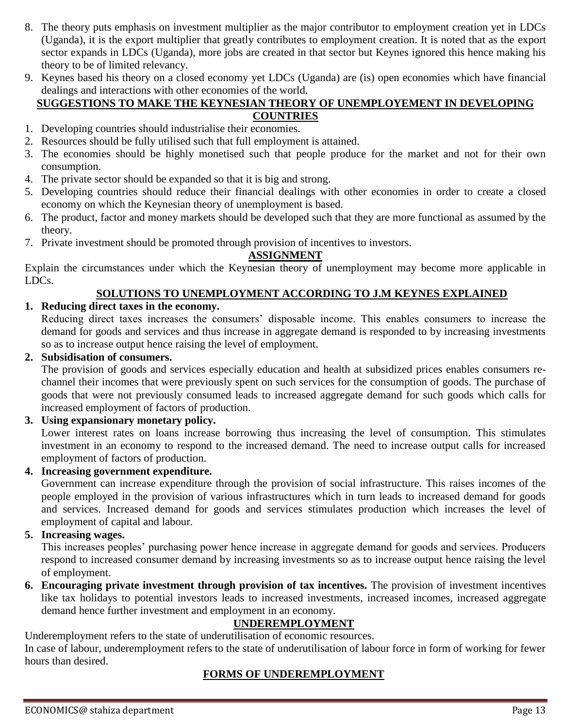- 8. The theory puts emphasis on investment multiplier as the major contributor to employment creation yet in LDCs (Uganda), it is the export multiplier that greatly contributes to employment creation. It is noted that as the export sector expands in LDCs (Uganda), more jobs are created in that sector but Keynes ignored this hence making his theory to be of limited relevancy.
- 9. Keynes based his theory on a closed economy yet LDCs (Uganda) are (is) open economies which have financial dealings and interactions with other economies of the world.

#### **SUGGESTIONS TO MAKE THE KEYNESIAN THEORY OF UNEMPLOYEMENT IN DEVELOPING COUNTRIES**

- 1. Developing countries should industrialise their economies.
- 2. Resources should be fully utilised such that full employment is attained.
- 3. The economies should be highly monetised such that people produce for the market and not for their own consumption.
- 4. The private sector should be expanded so that it is big and strong.
- 5. Developing countries should reduce their financial dealings with other economies in order to create a closed economy on which the Keynesian theory of unemployment is based.
- 6. The product, factor and money markets should be developed such that they are more functional as assumed by the theory.
- 7. Private investment should be promoted through provision of incentives to investors.

#### **ASSIGNMENT**

Explain the circumstances under which the Keynesian theory of unemployment may become more applicable in LDCs.

#### **SOLUTIONS TO UNEMPLOYMENT ACCORDING TO J.M KEYNES EXPLAINED**

#### **1. Reducing direct taxes in the economy.**

Reducing direct taxes increases the consumers' disposable income. This enables consumers to increase the demand for goods and services and thus increase in aggregate demand is responded to by increasing investments so as to increase output hence raising the level of employment.

#### **2. Subsidisation of consumers.**

The provision of goods and services especially education and health at subsidized prices enables consumers rechannel their incomes that were previously spent on such services for the consumption of goods. The purchase of goods that were not previously consumed leads to increased aggregate demand for such goods which calls for increased employment of factors of production.

#### **3. Using expansionary monetary policy.**

Lower interest rates on loans increase borrowing thus increasing the level of consumption. This stimulates investment in an economy to respond to the increased demand. The need to increase output calls for increased employment of factors of production.

**4. Increasing government expenditure.**

Government can increase expenditure through the provision of social infrastructure. This raises incomes of the people employed in the provision of various infrastructures which in turn leads to increased demand for goods and services. Increased demand for goods and services stimulates production which increases the level of employment of capital and labour.

#### **5. Increasing wages.**

This increases peoples' purchasing power hence increase in aggregate demand for goods and services. Producers respond to increased consumer demand by increasing investments so as to increase output hence raising the level of employment.

**6. Encouraging private investment through provision of tax incentives.** The provision of investment incentives like tax holidays to potential investors leads to increased investments, increased incomes, increased aggregate demand hence further investment and employment in an economy.

## **UNDEREMPLOYMENT**

Underemployment refers to the state of underutilisation of economic resources.

In case of labour, underemployment refers to the state of underutilisation of labour force in form of working for fewer hours than desired.

## **FORMS OF UNDEREMPLOYMENT**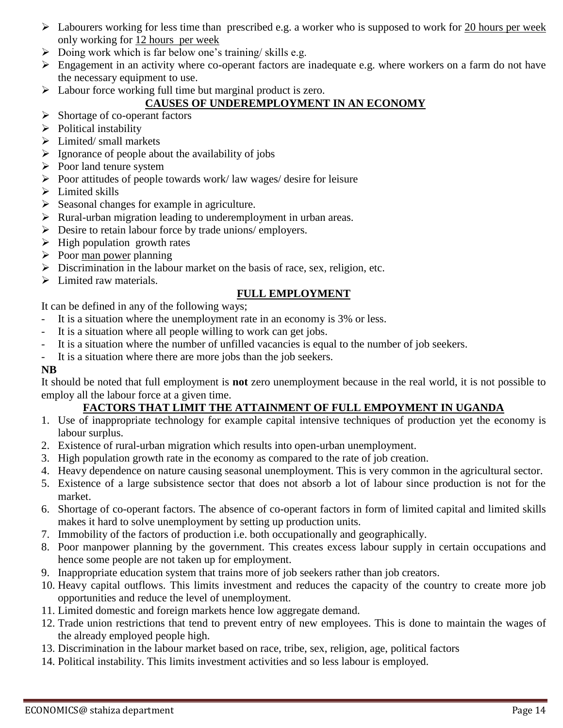- $\triangleright$  Labourers working for less time than prescribed e.g. a worker who is supposed to work for 20 hours per week only working for 12 hours per week
- $\triangleright$  Doing work which is far below one's training/ skills e.g.
- Engagement in an activity where co-operant factors are inadequate e.g. where workers on a farm do not have the necessary equipment to use.
- $\triangleright$  Labour force working full time but marginal product is zero.

#### **CAUSES OF UNDEREMPLOYMENT IN AN ECONOMY**

- $\triangleright$  Shortage of co-operant factors
- $\triangleright$  Political instability
- $\triangleright$  Limited/ small markets
- $\triangleright$  Ignorance of people about the availability of jobs
- $\triangleright$  Poor land tenure system
- $\triangleright$  Poor attitudes of people towards work/ law wages/ desire for leisure
- $\triangleright$  Limited skills
- $\triangleright$  Seasonal changes for example in agriculture.
- $\triangleright$  Rural-urban migration leading to underemployment in urban areas.
- $\triangleright$  Desire to retain labour force by trade unions/ employers.
- $\triangleright$  High population growth rates
- $\triangleright$  Poor man power planning
- $\triangleright$  Discrimination in the labour market on the basis of race, sex, religion, etc.
- $\triangleright$  Limited raw materials.

#### **FULL EMPLOYMENT**

It can be defined in any of the following ways;

- It is a situation where the unemployment rate in an economy is 3% or less.
- It is a situation where all people willing to work can get jobs.
- It is a situation where the number of unfilled vacancies is equal to the number of job seekers.
- It is a situation where there are more jobs than the job seekers.

#### **NB**

It should be noted that full employment is **not** zero unemployment because in the real world, it is not possible to employ all the labour force at a given time.

#### **FACTORS THAT LIMIT THE ATTAINMENT OF FULL EMPOYMENT IN UGANDA**

- 1. Use of inappropriate technology for example capital intensive techniques of production yet the economy is labour surplus.
- 2. Existence of rural-urban migration which results into open-urban unemployment.
- 3. High population growth rate in the economy as compared to the rate of job creation.
- 4. Heavy dependence on nature causing seasonal unemployment. This is very common in the agricultural sector.
- 5. Existence of a large subsistence sector that does not absorb a lot of labour since production is not for the market.
- 6. Shortage of co-operant factors. The absence of co-operant factors in form of limited capital and limited skills makes it hard to solve unemployment by setting up production units.
- 7. Immobility of the factors of production i.e. both occupationally and geographically.
- 8. Poor manpower planning by the government. This creates excess labour supply in certain occupations and hence some people are not taken up for employment.
- 9. Inappropriate education system that trains more of job seekers rather than job creators.
- 10. Heavy capital outflows. This limits investment and reduces the capacity of the country to create more job opportunities and reduce the level of unemployment.
- 11. Limited domestic and foreign markets hence low aggregate demand.
- 12. Trade union restrictions that tend to prevent entry of new employees. This is done to maintain the wages of the already employed people high.
- 13. Discrimination in the labour market based on race, tribe, sex, religion, age, political factors
- 14. Political instability. This limits investment activities and so less labour is employed.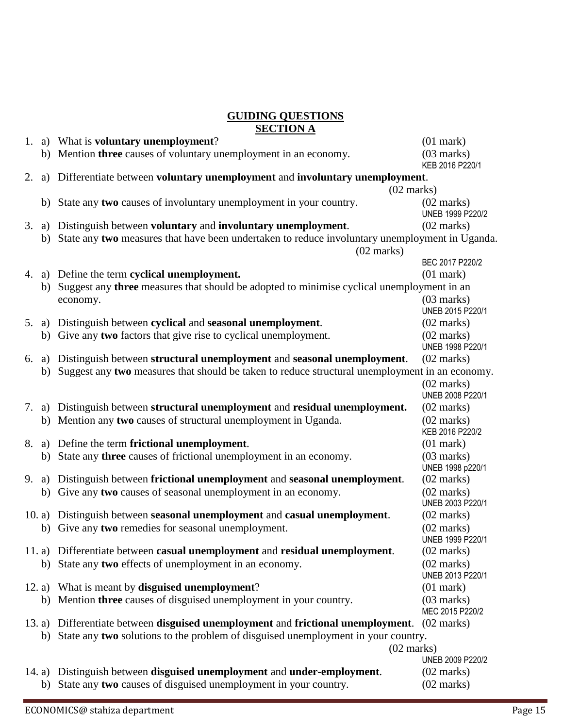#### **GUIDING QUESTIONS SECTION A**

| 1.                   |  | a) What is <b>voluntary unemployment</b> ?                                                                                | $(01$ mark $)$                           |  |
|----------------------|--|---------------------------------------------------------------------------------------------------------------------------|------------------------------------------|--|
|                      |  | b) Mention three causes of voluntary unemployment in an economy.                                                          | $(03$ marks)<br>KEB 2016 P220/1          |  |
| 2.                   |  | a) Differentiate between voluntary unemployment and involuntary unemployment.                                             |                                          |  |
|                      |  | $(02 \text{ marks})$                                                                                                      |                                          |  |
|                      |  | b) State any two causes of involuntary unemployment in your country.                                                      | $(02 \text{ marks})$<br>UNEB 1999 P220/2 |  |
| 3.                   |  | a) Distinguish between voluntary and involuntary unemployment.                                                            | $(02 \text{ marks})$                     |  |
|                      |  | b) State any two measures that have been undertaken to reduce involuntary unemployment in Uganda.<br>$(02 \text{ marks})$ |                                          |  |
|                      |  |                                                                                                                           |                                          |  |
|                      |  |                                                                                                                           | BEC 2017 P220/2                          |  |
| 4.                   |  | a) Define the term cyclical unemployment.                                                                                 | $(01$ mark $)$                           |  |
|                      |  | b) Suggest any <b>three</b> measures that should be adopted to minimise cyclical unemployment in an                       |                                          |  |
|                      |  | economy.                                                                                                                  | $(03$ marks)                             |  |
|                      |  |                                                                                                                           | UNEB 2015 P220/1                         |  |
|                      |  | 5. a) Distinguish between cyclical and seasonal unemployment.                                                             | $(02 \text{ marks})$                     |  |
|                      |  | b) Give any two factors that give rise to cyclical unemployment.                                                          | $(02 \text{ marks})$                     |  |
|                      |  |                                                                                                                           | UNEB 1998 P220/1                         |  |
| 6.                   |  | a) Distinguish between structural unemployment and seasonal unemployment.                                                 | $(02 \text{ marks})$                     |  |
|                      |  | b) Suggest any two measures that should be taken to reduce structural unemployment in an economy.                         |                                          |  |
|                      |  |                                                                                                                           | $(02 \text{ marks})$                     |  |
|                      |  |                                                                                                                           | UNEB 2008 P220/1                         |  |
|                      |  | 7. a) Distinguish between structural unemployment and residual unemployment.                                              | $(02 \text{ marks})$                     |  |
|                      |  | b) Mention any two causes of structural unemployment in Uganda.                                                           | $(02 \text{ marks})$<br>KEB 2016 P220/2  |  |
| 8.                   |  | a) Define the term frictional unemployment.                                                                               | $(01$ mark $)$                           |  |
|                      |  | b) State any three causes of frictional unemployment in an economy.                                                       | $(03$ marks)                             |  |
|                      |  |                                                                                                                           | UNEB 1998 p220/1                         |  |
| 9.                   |  | a) Distinguish between frictional unemployment and seasonal unemployment.                                                 | $(02 \text{ marks})$                     |  |
|                      |  | b) Give any two causes of seasonal unemployment in an economy.                                                            | $(02 \text{ marks})$                     |  |
|                      |  |                                                                                                                           | UNEB 2003 P220/1                         |  |
|                      |  | 10. a) Distinguish between seasonal unemployment and casual unemployment.                                                 | $(02 \text{ marks})$                     |  |
|                      |  | b) Give any two remedies for seasonal unemployment.                                                                       | $(02 \text{ marks})$                     |  |
|                      |  |                                                                                                                           | UNEB 1999 P220/1                         |  |
|                      |  | 11. a) Differentiate between casual unemployment and residual unemployment.                                               | $(02 \text{ marks})$                     |  |
|                      |  | b) State any two effects of unemployment in an economy.                                                                   | $(02 \text{ marks})$                     |  |
|                      |  |                                                                                                                           | UNEB 2013 P220/1                         |  |
|                      |  | 12. a) What is meant by disguised unemployment?                                                                           | $(01$ mark $)$                           |  |
|                      |  | b) Mention three causes of disguised unemployment in your country.                                                        | $(03$ marks)<br>MEC 2015 P220/2          |  |
|                      |  | 13. a) Differentiate between <b>disguised unemployment</b> and <b>frictional unemployment</b> .                           | $(02 \text{ marks})$                     |  |
|                      |  | b) State any two solutions to the problem of disguised unemployment in your country.                                      |                                          |  |
| $(02 \text{ marks})$ |  |                                                                                                                           |                                          |  |
|                      |  |                                                                                                                           | UNEB 2009 P220/2                         |  |
|                      |  | 14. a) Distinguish between <b>disguised unemployment</b> and <b>under-employment</b> .                                    | $(02 \text{ marks})$                     |  |
|                      |  | b) State any two causes of disguised unemployment in your country.                                                        | $(02 \text{ marks})$                     |  |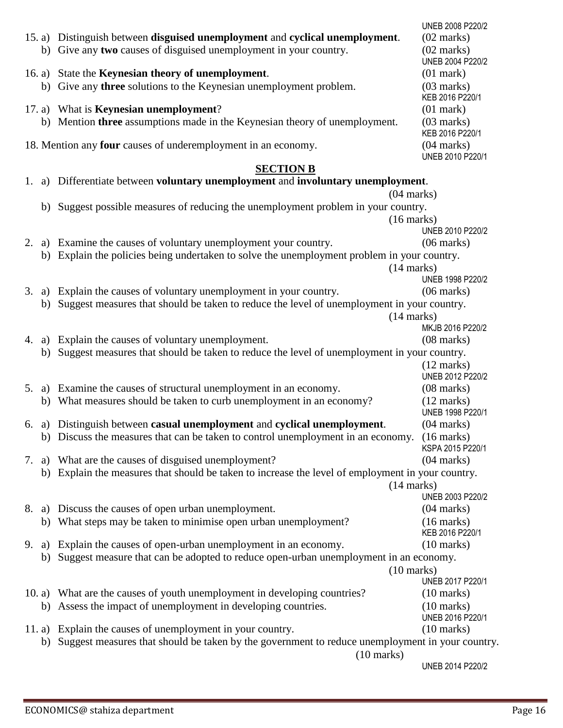|                                                                                                  |                                                                                                       |                                                                                                   | UNEB 2008 P220/2                         |  |  |
|--------------------------------------------------------------------------------------------------|-------------------------------------------------------------------------------------------------------|---------------------------------------------------------------------------------------------------|------------------------------------------|--|--|
|                                                                                                  |                                                                                                       | 15. a) Distinguish between disguised unemployment and cyclical unemployment.                      | $(02 \text{ marks})$                     |  |  |
|                                                                                                  |                                                                                                       | b) Give any two causes of disguised unemployment in your country.                                 | $(02 \text{ marks})$<br>UNEB 2004 P220/2 |  |  |
|                                                                                                  |                                                                                                       | 16. a) State the <b>Keynesian theory of unemployment</b> .                                        | $(01$ mark $)$                           |  |  |
|                                                                                                  |                                                                                                       | b) Give any <b>three</b> solutions to the Keynesian unemployment problem.                         | $(03$ marks)<br>KEB 2016 P220/1          |  |  |
|                                                                                                  |                                                                                                       | 17. a) What is <b>Keynesian unemployment</b> ?                                                    | $(01$ mark $)$                           |  |  |
|                                                                                                  |                                                                                                       | b) Mention three assumptions made in the Keynesian theory of unemployment.                        | $(03$ marks)                             |  |  |
|                                                                                                  |                                                                                                       |                                                                                                   | KEB 2016 P220/1                          |  |  |
| 18. Mention any <b>four</b> causes of underemployment in an economy.                             |                                                                                                       |                                                                                                   | $(04 \text{ marks})$<br>UNEB 2010 P220/1 |  |  |
|                                                                                                  |                                                                                                       | <b>SECTION B</b>                                                                                  |                                          |  |  |
| 1.                                                                                               | a) Differentiate between voluntary unemployment and involuntary unemployment.                         |                                                                                                   |                                          |  |  |
|                                                                                                  |                                                                                                       | $(04$ marks)                                                                                      |                                          |  |  |
|                                                                                                  |                                                                                                       | b) Suggest possible measures of reducing the unemployment problem in your country.                |                                          |  |  |
|                                                                                                  |                                                                                                       | $(16 \text{ marks})$                                                                              |                                          |  |  |
|                                                                                                  |                                                                                                       |                                                                                                   | UNEB 2010 P220/2                         |  |  |
| 2.                                                                                               |                                                                                                       | a) Examine the causes of voluntary unemployment your country.                                     | $(06 \text{ marks})$                     |  |  |
|                                                                                                  |                                                                                                       | b) Explain the policies being undertaken to solve the unemployment problem in your country.       |                                          |  |  |
|                                                                                                  |                                                                                                       | $(14 \text{ marks})$                                                                              |                                          |  |  |
|                                                                                                  |                                                                                                       |                                                                                                   | UNEB 1998 P220/2                         |  |  |
| 3.                                                                                               |                                                                                                       | a) Explain the causes of voluntary unemployment in your country.                                  | $(06 \text{ marks})$                     |  |  |
|                                                                                                  | b)                                                                                                    | Suggest measures that should be taken to reduce the level of unemployment in your country.        |                                          |  |  |
|                                                                                                  |                                                                                                       | (14 marks)                                                                                        |                                          |  |  |
|                                                                                                  |                                                                                                       |                                                                                                   | MKJB 2016 P220/2                         |  |  |
| 4.                                                                                               |                                                                                                       | a) Explain the causes of voluntary unemployment.                                                  | $(08 \text{ marks})$                     |  |  |
| Suggest measures that should be taken to reduce the level of unemployment in your country.<br>b) |                                                                                                       |                                                                                                   |                                          |  |  |
|                                                                                                  |                                                                                                       |                                                                                                   | $(12 \text{ marks})$                     |  |  |
|                                                                                                  |                                                                                                       |                                                                                                   | UNEB 2012 P220/2                         |  |  |
|                                                                                                  |                                                                                                       | 5. a) Examine the causes of structural unemployment in an economy.                                | $(08 \text{ marks})$                     |  |  |
|                                                                                                  |                                                                                                       | b) What measures should be taken to curb unemployment in an economy?                              | $(12 \text{ marks})$<br>UNEB 1998 P220/1 |  |  |
|                                                                                                  |                                                                                                       | 6. a) Distinguish between casual unemployment and cyclical unemployment.                          | $(04 \text{ marks})$                     |  |  |
|                                                                                                  |                                                                                                       | b) Discuss the measures that can be taken to control unemployment in an economy.                  | $(16 \text{ marks})$<br>KSPA 2015 P220/1 |  |  |
| 7.                                                                                               |                                                                                                       | a) What are the causes of disguised unemployment?                                                 | $(04 \text{ marks})$                     |  |  |
|                                                                                                  |                                                                                                       | b) Explain the measures that should be taken to increase the level of employment in your country. |                                          |  |  |
|                                                                                                  |                                                                                                       | $(14 \text{ marks})$                                                                              |                                          |  |  |
|                                                                                                  |                                                                                                       |                                                                                                   | UNEB 2003 P220/2                         |  |  |
|                                                                                                  |                                                                                                       | 8. a) Discuss the causes of open urban unemployment.                                              | $(04 \text{ marks})$                     |  |  |
|                                                                                                  |                                                                                                       | b) What steps may be taken to minimise open urban unemployment?                                   | $(16 \text{ marks})$                     |  |  |
|                                                                                                  |                                                                                                       |                                                                                                   | KEB 2016 P220/1                          |  |  |
| 9.                                                                                               |                                                                                                       | a) Explain the causes of open-urban unemployment in an economy.                                   | $(10 \text{ marks})$                     |  |  |
|                                                                                                  | b)                                                                                                    | Suggest measure that can be adopted to reduce open-urban unemployment in an economy.              |                                          |  |  |
|                                                                                                  |                                                                                                       | $(10 \text{ marks})$                                                                              |                                          |  |  |
|                                                                                                  |                                                                                                       |                                                                                                   | UNEB 2017 P220/1                         |  |  |
|                                                                                                  |                                                                                                       | 10. a) What are the causes of youth unemployment in developing countries?                         | $(10 \text{ marks})$                     |  |  |
|                                                                                                  |                                                                                                       | b) Assess the impact of unemployment in developing countries.                                     | $(10 \text{ marks})$                     |  |  |
|                                                                                                  |                                                                                                       |                                                                                                   | UNEB 2016 P220/1                         |  |  |
|                                                                                                  |                                                                                                       | 11. a) Explain the causes of unemployment in your country.                                        | $(10 \text{ marks})$                     |  |  |
|                                                                                                  | Suggest measures that should be taken by the government to reduce unemployment in your country.<br>b) |                                                                                                   |                                          |  |  |
|                                                                                                  | $(10 \text{ marks})$                                                                                  |                                                                                                   |                                          |  |  |
|                                                                                                  |                                                                                                       |                                                                                                   | UNEB 2014 P220/2                         |  |  |